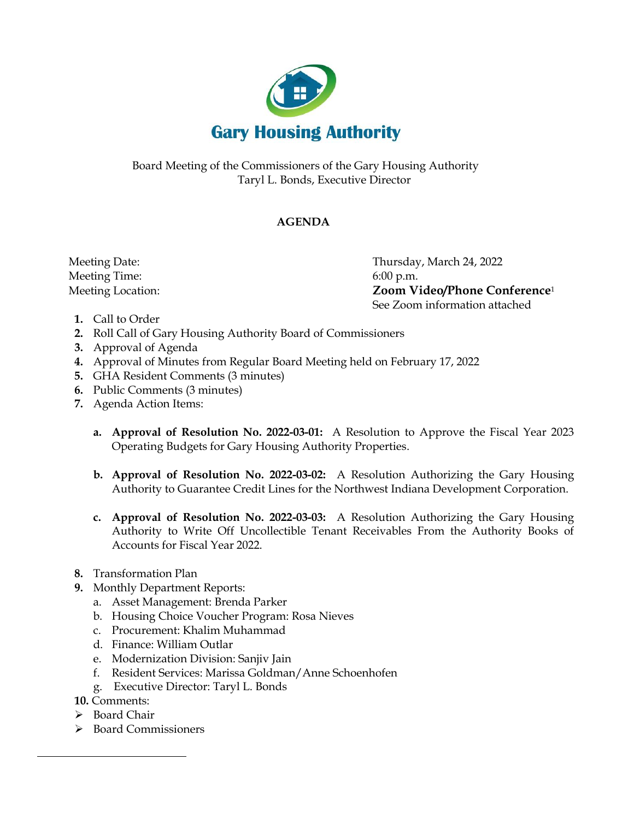

Board Meeting of the Commissioners of the Gary Housing Authority Taryl L. Bonds, Executive Director

## **AGENDA**

Meeting Time: 6:00 p.m.

 Meeting Date: Thursday, March 24, 2022 Meeting Location: **Zoom Video/Phone Conference**<sup>1</sup> See Zoom information attached

- **1.** Call to Order
- **2.** Roll Call of Gary Housing Authority Board of Commissioners
- **3.** Approval of Agenda
- **4.** Approval of Minutes from Regular Board Meeting held on February 17, 2022
- **5.** GHA Resident Comments (3 minutes)
- **6.** Public Comments (3 minutes)
- **7.** Agenda Action Items:
	- **a. Approval of Resolution No. 2022-03-01:** A Resolution to Approve the Fiscal Year 2023 Operating Budgets for Gary Housing Authority Properties.
	- **b. Approval of Resolution No. 2022-03-02:** A Resolution Authorizing the Gary Housing Authority to Guarantee Credit Lines for the Northwest Indiana Development Corporation.
	- **c. Approval of Resolution No. 2022-03-03:** A Resolution Authorizing the Gary Housing Authority to Write Off Uncollectible Tenant Receivables From the Authority Books of Accounts for Fiscal Year 2022.
- **8.** Transformation Plan
- **9.** Monthly Department Reports:
	- a. Asset Management: Brenda Parker
	- b. Housing Choice Voucher Program: Rosa Nieves
	- c. Procurement: Khalim Muhammad
	- d. Finance: William Outlar
	- e. Modernization Division: Sanjiv Jain
	- f. Resident Services: Marissa Goldman/Anne Schoenhofen
	- g. Executive Director: Taryl L. Bonds
- **10.** Comments:
- ➢ Board Chair
- ➢ Board Commissioners